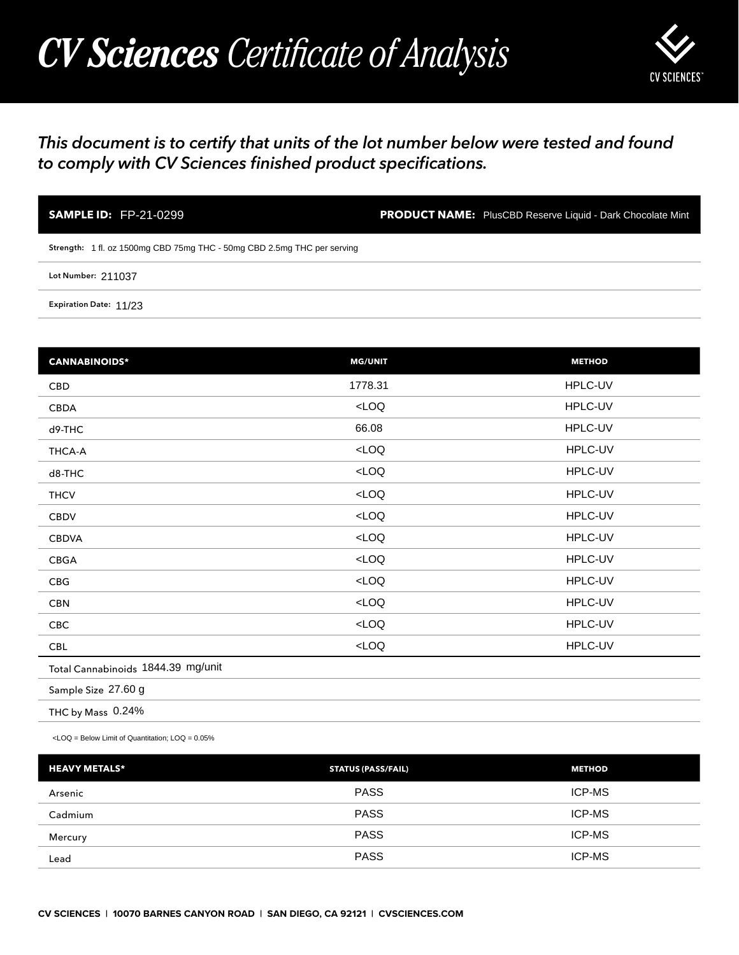## *CV Sciences Certificate of Analysis*



## *This document is to certify that units of the lot number below were tested and found to comply with CV Sciences finished product specifications.*

| <b>SAMPLE ID: FP-21-0299</b>                                            | <b>PRODUCT NAME:</b> PlusCBD Reserve Liquid - Dark Chocolate Mint |
|-------------------------------------------------------------------------|-------------------------------------------------------------------|
| Strength: 1 fl. oz 1500mg CBD 75mg THC - 50mg CBD 2.5mg THC per serving |                                                                   |
| Lot Number: 211037                                                      |                                                                   |
| Expiration Date: 11/23                                                  |                                                                   |

| <b>SAMPLE ID: FP-21-0299</b>                                                                   |                           | <b>PRODUCT NAME:</b> PlusCBD Reserve Liquid - Dark Chocolate Mint |
|------------------------------------------------------------------------------------------------|---------------------------|-------------------------------------------------------------------|
| Strength: 1 fl. oz 1500mg CBD 75mg THC - 50mg CBD 2.5mg THC per serving                        |                           |                                                                   |
| Lot Number: 211037                                                                             |                           |                                                                   |
| Expiration Date: 11/23                                                                         |                           |                                                                   |
|                                                                                                |                           |                                                                   |
| <b>CANNABINOIDS*</b>                                                                           | <b>MG/UNIT</b>            | <b>METHOD</b>                                                     |
| CBD                                                                                            | 1778.31                   | HPLC-UV                                                           |
| <b>CBDA</b>                                                                                    | $<$ LOQ                   | HPLC-UV                                                           |
| d9-THC                                                                                         | 66.08                     | HPLC-UV                                                           |
| THCA-A                                                                                         | LOO                       | HPLC-UV                                                           |
| d8-THC                                                                                         | LOO                       | HPLC-UV                                                           |
| <b>THCV</b>                                                                                    | LOO                       | HPLC-UV                                                           |
| CBDV                                                                                           | LOO                       | HPLC-UV                                                           |
| <b>CBDVA</b>                                                                                   | $<$ LOQ                   | HPLC-UV                                                           |
| CBGA                                                                                           | LOO                       | HPLC-UV                                                           |
| CBG                                                                                            | LOO                       | HPLC-UV                                                           |
| <b>CBN</b>                                                                                     | LOO                       | HPLC-UV                                                           |
| CBC                                                                                            | LOO                       | HPLC-UV                                                           |
| <b>CBL</b>                                                                                     | $<$ LOQ                   | HPLC-UV                                                           |
| Total Cannabinoids 1844.39 mg/unit                                                             |                           |                                                                   |
| Sample Size 27.60 g                                                                            |                           |                                                                   |
| THC by Mass 0.24%                                                                              |                           |                                                                   |
| <loq =="" below="" limit="" loq="0.05%&lt;/td" of="" quantitation;=""><td></td><td></td></loq> |                           |                                                                   |
| <b>HEAVY METALS*</b>                                                                           | <b>STATUS (PASS/FAIL)</b> | <b>METHOD</b>                                                     |
| Arsenic                                                                                        | <b>PASS</b>               | ICP-MS                                                            |
| Cadmium                                                                                        | <b>PASS</b>               | ICP-MS                                                            |
| Mercury                                                                                        | <b>PASS</b>               | ICP-MS                                                            |
| Lead                                                                                           | PASS                      | ICP-MS                                                            |

| <b>HEAVY METALS*</b> | <b>STATUS (PASS/FAIL)</b> | <b>METHOD</b> |
|----------------------|---------------------------|---------------|
| Arsenic              | <b>PASS</b>               | <b>ICP-MS</b> |
| Cadmium              | <b>PASS</b>               | ICP-MS        |
| Mercury              | <b>PASS</b>               | <b>ICP-MS</b> |
| Lead                 | <b>PASS</b>               | <b>ICP-MS</b> |